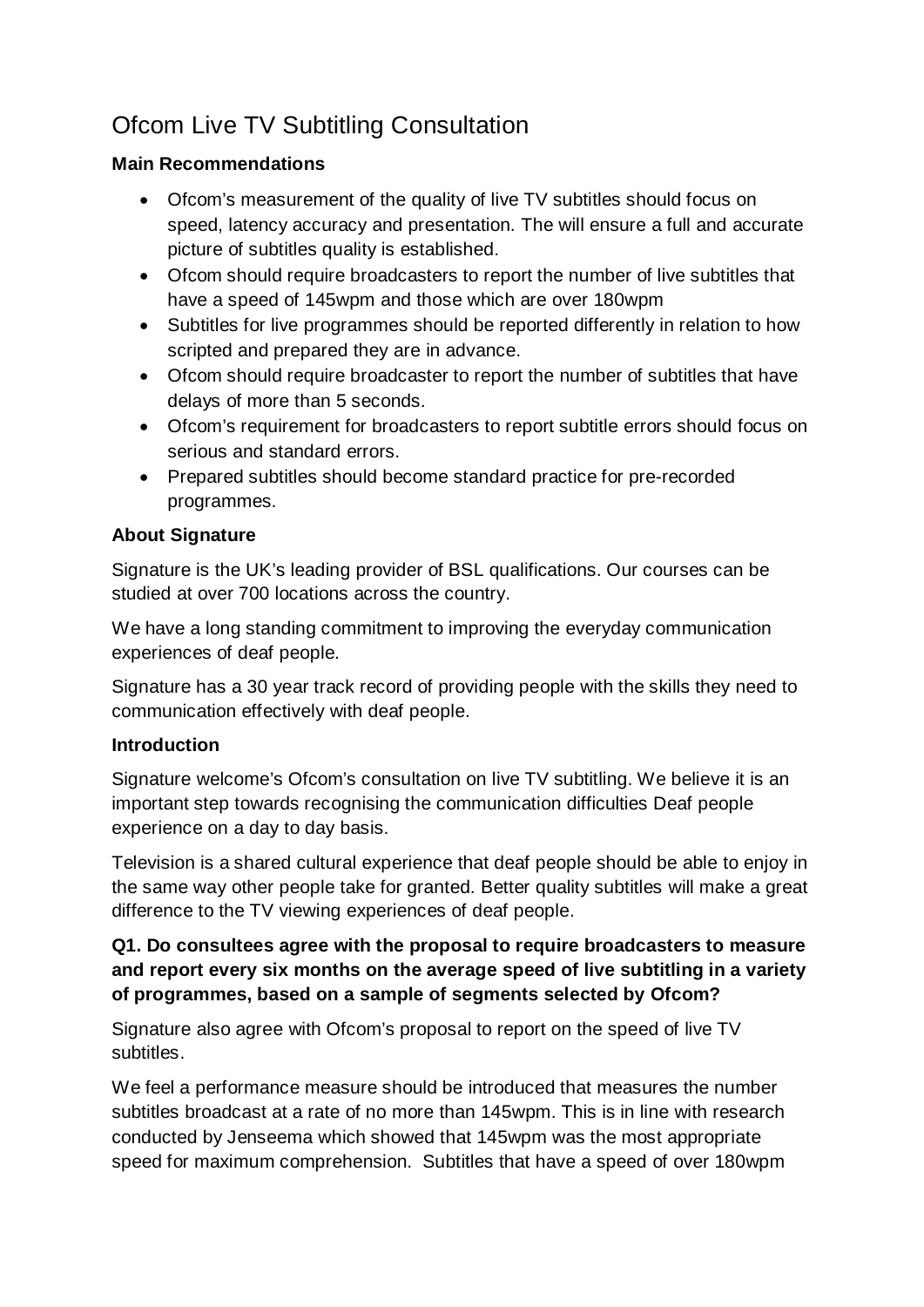# Ofcom Live TV Subtitling Consultation

#### **Main Recommendations**

- Ofcom's measurement of the quality of live TV subtitles should focus on speed, latency accuracy and presentation. The will ensure a full and accurate picture of subtitles quality is established.
- Ofcom should require broadcasters to report the number of live subtitles that have a speed of 145wpm and those which are over 180wpm
- Subtitles for live programmes should be reported differently in relation to how scripted and prepared they are in advance.
- Ofcom should require broadcaster to report the number of subtitles that have delays of more than 5 seconds.
- Ofcom's requirement for broadcasters to report subtitle errors should focus on serious and standard errors.
- Prepared subtitles should become standard practice for pre-recorded programmes.

## **About Signature**

Signature is the UK's leading provider of BSL qualifications. Our courses can be studied at over 700 locations across the country.

We have a long standing commitment to improving the everyday communication experiences of deaf people.

Signature has a 30 year track record of providing people with the skills they need to communication effectively with deaf people.

#### **Introduction**

Signature welcome's Ofcom's consultation on live TV subtitling. We believe it is an important step towards recognising the communication difficulties Deaf people experience on a day to day basis.

Television is a shared cultural experience that deaf people should be able to enjoy in the same way other people take for granted. Better quality subtitles will make a great difference to the TV viewing experiences of deaf people.

#### **Q1. Do consultees agree with the proposal to require broadcasters to measure and report every six months on the average speed of live subtitling in a variety of programmes, based on a sample of segments selected by Ofcom?**

Signature also agree with Ofcom's proposal to report on the speed of live TV subtitles.

We feel a performance measure should be introduced that measures the number subtitles broadcast at a rate of no more than 145wpm. This is in line with research conducted by Jenseema which showed that 145wpm was the most appropriate speed for maximum comprehension. Subtitles that have a speed of over 180wpm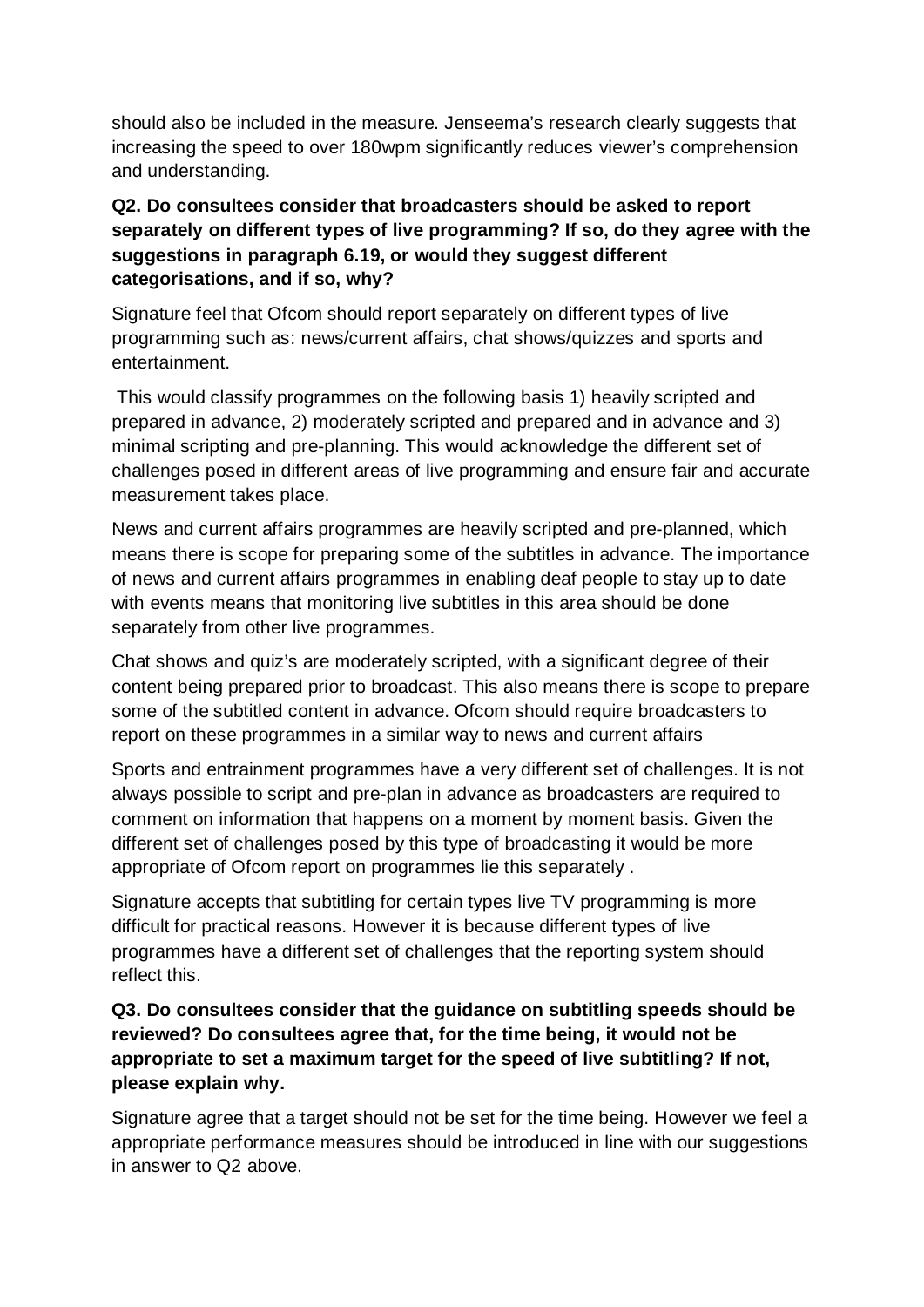should also be included in the measure. Jenseema's research clearly suggests that increasing the speed to over 180wpm significantly reduces viewer's comprehension and understanding.

## **Q2. Do consultees consider that broadcasters should be asked to report separately on different types of live programming? If so, do they agree with the suggestions in paragraph 6.19, or would they suggest different categorisations, and if so, why?**

Signature feel that Ofcom should report separately on different types of live programming such as: news/current affairs, chat shows/quizzes and sports and entertainment.

This would classify programmes on the following basis 1) heavily scripted and prepared in advance, 2) moderately scripted and prepared and in advance and 3) minimal scripting and pre-planning. This would acknowledge the different set of challenges posed in different areas of live programming and ensure fair and accurate measurement takes place.

News and current affairs programmes are heavily scripted and pre-planned, which means there is scope for preparing some of the subtitles in advance. The importance of news and current affairs programmes in enabling deaf people to stay up to date with events means that monitoring live subtitles in this area should be done separately from other live programmes.

Chat shows and quiz's are moderately scripted, with a significant degree of their content being prepared prior to broadcast. This also means there is scope to prepare some of the subtitled content in advance. Ofcom should require broadcasters to report on these programmes in a similar way to news and current affairs

Sports and entrainment programmes have a very different set of challenges. It is not always possible to script and pre-plan in advance as broadcasters are required to comment on information that happens on a moment by moment basis. Given the different set of challenges posed by this type of broadcasting it would be more appropriate of Ofcom report on programmes lie this separately .

Signature accepts that subtitling for certain types live TV programming is more difficult for practical reasons. However it is because different types of live programmes have a different set of challenges that the reporting system should reflect this.

## **Q3. Do consultees consider that the guidance on subtitling speeds should be reviewed? Do consultees agree that, for the time being, it would not be appropriate to set a maximum target for the speed of live subtitling? If not, please explain why.**

Signature agree that a target should not be set for the time being. However we feel a appropriate performance measures should be introduced in line with our suggestions in answer to Q2 above.